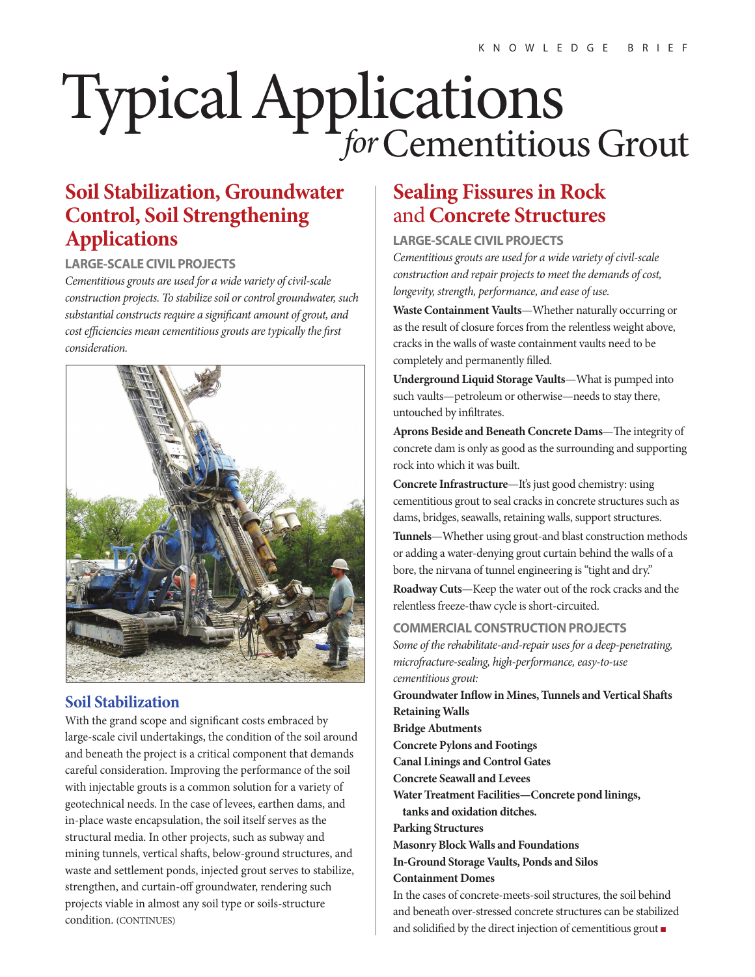# TypicalApplications *for*Cementitious Grout

## **Soil Stabilization, Groundwater Control, Soil Strengthening Applications**

## **LARGE-SCALE CIVIL PROJECTS**

*Cementitious grouts are used for a wide variety of civil-scale construction projects. To stabilize soil or control groundwater, such substantial constructs require a signicant amount of grout, and cost efficiencies mean cementitious grouts are typically the first consideration.*



## **Soil Stabilization**

With the grand scope and significant costs embraced by large-scale civil undertakings, the condition of the soil around and beneath the project is a critical component that demands careful consideration. Improving the performance of the soil with injectable grouts is a common solution for a variety of geotechnical needs. In the case of levees, earthen dams, and in-place waste encapsulation, the soil itself serves as the structural media. In other projects, such as subway and mining tunnels, vertical shafts, below-ground structures, and waste and settlement ponds, injected grout serves to stabilize, strengthen, and curtain-off groundwater, rendering such projects viable in almost any soil type or soils-structure condition. (CONTINUES)

# **Sealing Fissures in Rock**  and **Concrete Structures**

**LARGE-SCALE CIVIL PROJECTS**

*Cementitious grouts are used for a wide variety of civil-scale construction and repair projects to meet the demands of cost, longevity, strength, performance, and ease of use.*

**Waste Containment Vaults**—Whether naturally occurring or as the result of closure forces from the relentless weight above, cracks in the walls of waste containment vaults need to be completely and permanently filled.

**Underground Liquid Storage Vaults**—What is pumped into such vaults—petroleum or otherwise—needs to stay there, untouched by infiltrates.

Aprons Beside and Beneath Concrete Dams-The integrity of concrete dam is only as good as the surrounding and supporting rock into which it was built.

**Concrete Infrastructure**—It's just good chemistry: using cementitious grout to seal cracks in concrete structures such as dams, bridges, seawalls, retaining walls, support structures.

**Tunnels**—Whether using grout-and blast construction methods or adding a water-denying grout curtain behind the walls of a bore, the nirvana of tunnel engineering is "tight and dry."

**Roadway Cuts**—Keep the water out of the rock cracks and the relentless freeze-thaw cycle is short-circuited.

**COMMERCIAL CONSTRUCTION PROJECTS**

*Some of the rehabilitate-and-repair uses for a deep-penetrating, microfracture-sealing, high-performance, easy-to-use cementitious grout:* **Groundwater Inflow in Mines, Tunnels and Vertical Shafts Retaining Walls Bridge Abutments Concrete Pylons and Footings Canal Linings and Control Gates Concrete Seawall and Levees Water Treatment Facilities—Concrete pond linings, tanks and oxidation ditches. Parking Structures Masonry Block Walls and Foundations In-Ground Storage Vaults, Ponds and Silos Containment Domes** In the cases of concrete-meets-soil structures, the soil behind and beneath over-stressed concrete structures can be stabilized

and solidified by the direct injection of cementitious grout  $\blacksquare$